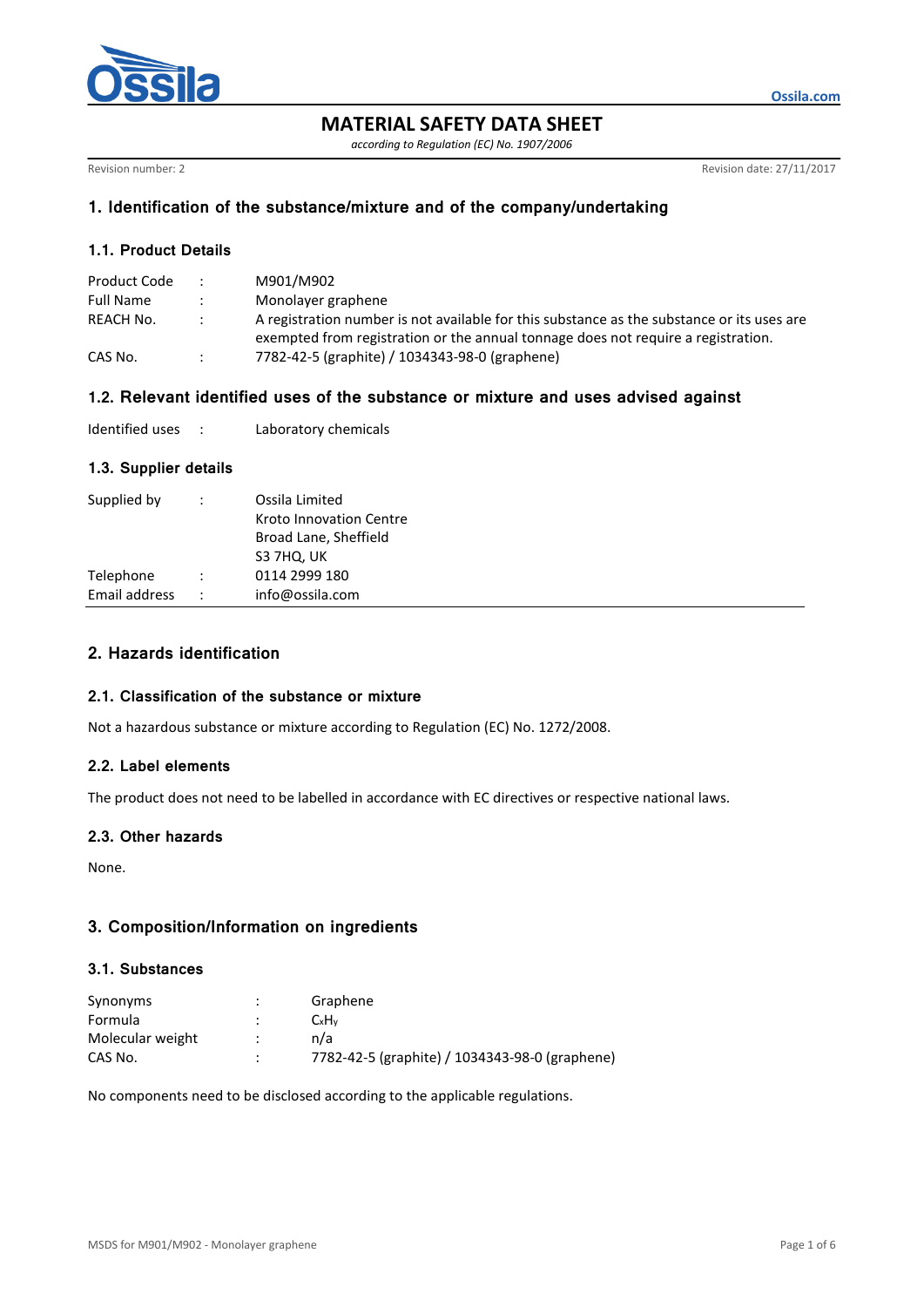

**MATERIAL SAFETY DATA SHEET**

*according to Regulation (EC) No. 1907/2006*

Revision number: 2 **Revision date: 27/11/2017** 

**Ossila.com**

### **1. Identification of the substance/mixture and of the company/undertaking**

## **1.1. Product Details**

| Product Code     | M901/M902                                                                                  |
|------------------|--------------------------------------------------------------------------------------------|
| <b>Full Name</b> | Monolayer graphene                                                                         |
| REACH No.        | A registration number is not available for this substance as the substance or its uses are |
|                  | exempted from registration or the annual tonnage does not require a registration.          |
| CAS No.          | 7782-42-5 (graphite) / 1034343-98-0 (graphene)                                             |

## **1.2. Relevant identified uses of the substance or mixture and uses advised against**

| Identified uses |  | Laboratory chemicals |
|-----------------|--|----------------------|
|-----------------|--|----------------------|

## **1.3. Supplier details**

| Supplied by   |                      | Ossila Limited<br>Kroto Innovation Centre<br>Broad Lane, Sheffield<br>S3 7HQ, UK |
|---------------|----------------------|----------------------------------------------------------------------------------|
| Telephone     |                      | 0114 2999 180                                                                    |
| Email address | $\ddot{\phantom{0}}$ | info@ossila.com                                                                  |
|               |                      |                                                                                  |

# **2. Hazards identification**

## **2.1. Classification of the substance or mixture**

Not a hazardous substance or mixture according to Regulation (EC) No. 1272/2008.

### **2.2. Label elements**

The product does not need to be labelled in accordance with EC directives or respective national laws.

### **2.3. Other hazards**

None.

# **3. Composition/Information on ingredients**

### **3.1. Substances**

| Synonyms         | $\cdot$ | Graphene                                       |
|------------------|---------|------------------------------------------------|
| Formula          |         | CxH <sub>v</sub>                               |
| Molecular weight |         | n/a                                            |
| CAS No.          | ٠       | 7782-42-5 (graphite) / 1034343-98-0 (graphene) |

No components need to be disclosed according to the applicable regulations.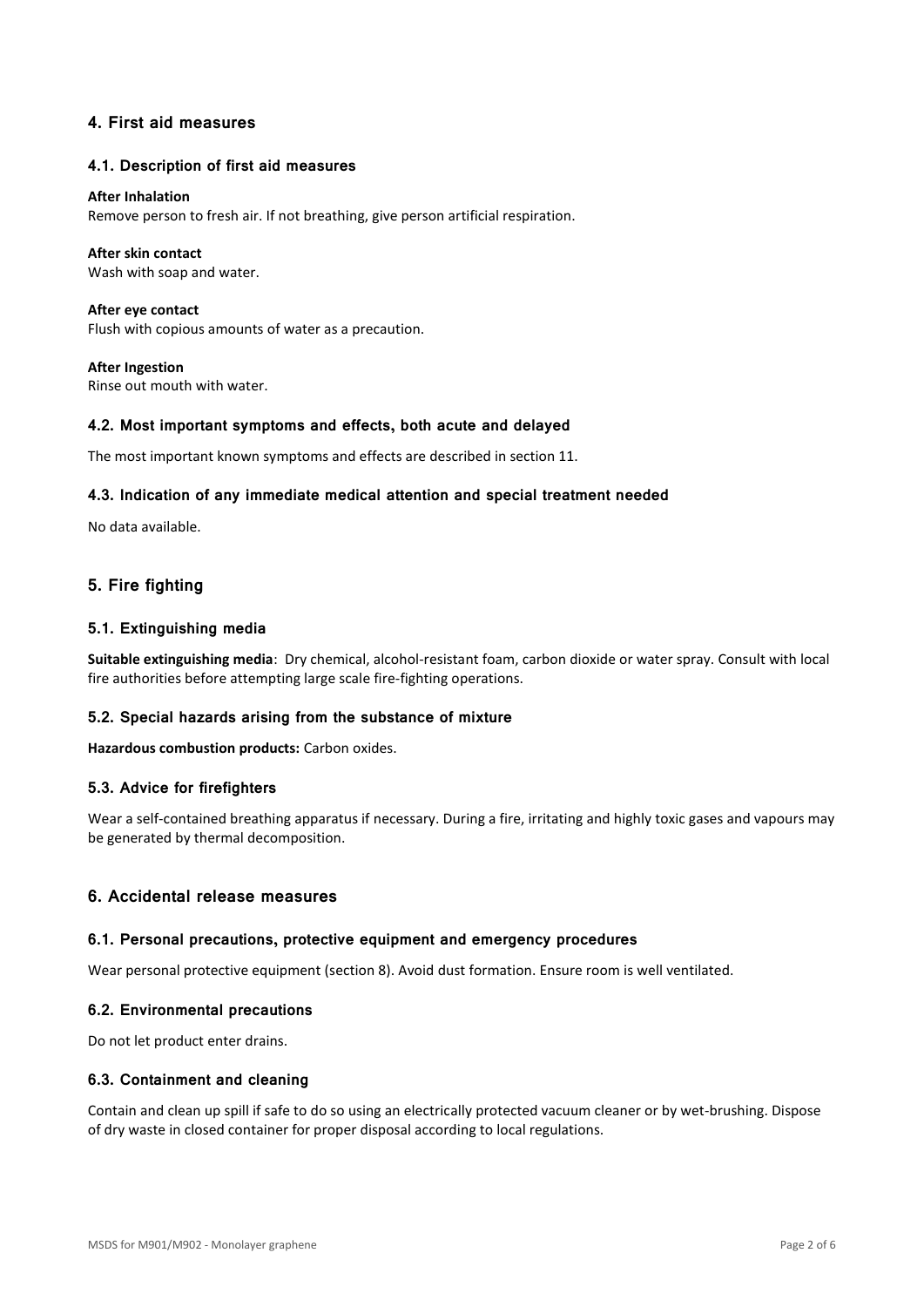## **4. First aid measures**

#### **4.1. Description of first aid measures**

#### **After Inhalation**

Remove person to fresh air. If not breathing, give person artificial respiration.

#### **After skin contact**

Wash with soap and water.

**After eye contact** Flush with copious amounts of water as a precaution.

**After Ingestion** Rinse out mouth with water.

#### **4.2. Most important symptoms and effects, both acute and delayed**

The most important known symptoms and effects are described in section 11.

#### **4.3. Indication of any immediate medical attention and special treatment needed**

No data available.

## **5. Fire fighting**

### **5.1. Extinguishing media**

**Suitable extinguishing media**: Dry chemical, alcohol-resistant foam, carbon dioxide or water spray. Consult with local fire authorities before attempting large scale fire-fighting operations.

### **5.2. Special hazards arising from the substance of mixture**

**Hazardous combustion products:** Carbon oxides.

#### **5.3. Advice for firefighters**

Wear a self-contained breathing apparatus if necessary. During a fire, irritating and highly toxic gases and vapours may be generated by thermal decomposition.

### **6. Accidental release measures**

#### **6.1. Personal precautions, protective equipment and emergency procedures**

Wear personal protective equipment (section 8). Avoid dust formation. Ensure room is well ventilated.

#### **6.2. Environmental precautions**

Do not let product enter drains.

#### **6.3. Containment and cleaning**

Contain and clean up spill if safe to do so using an electrically protected vacuum cleaner or by wet-brushing. Dispose of dry waste in closed container for proper disposal according to local regulations.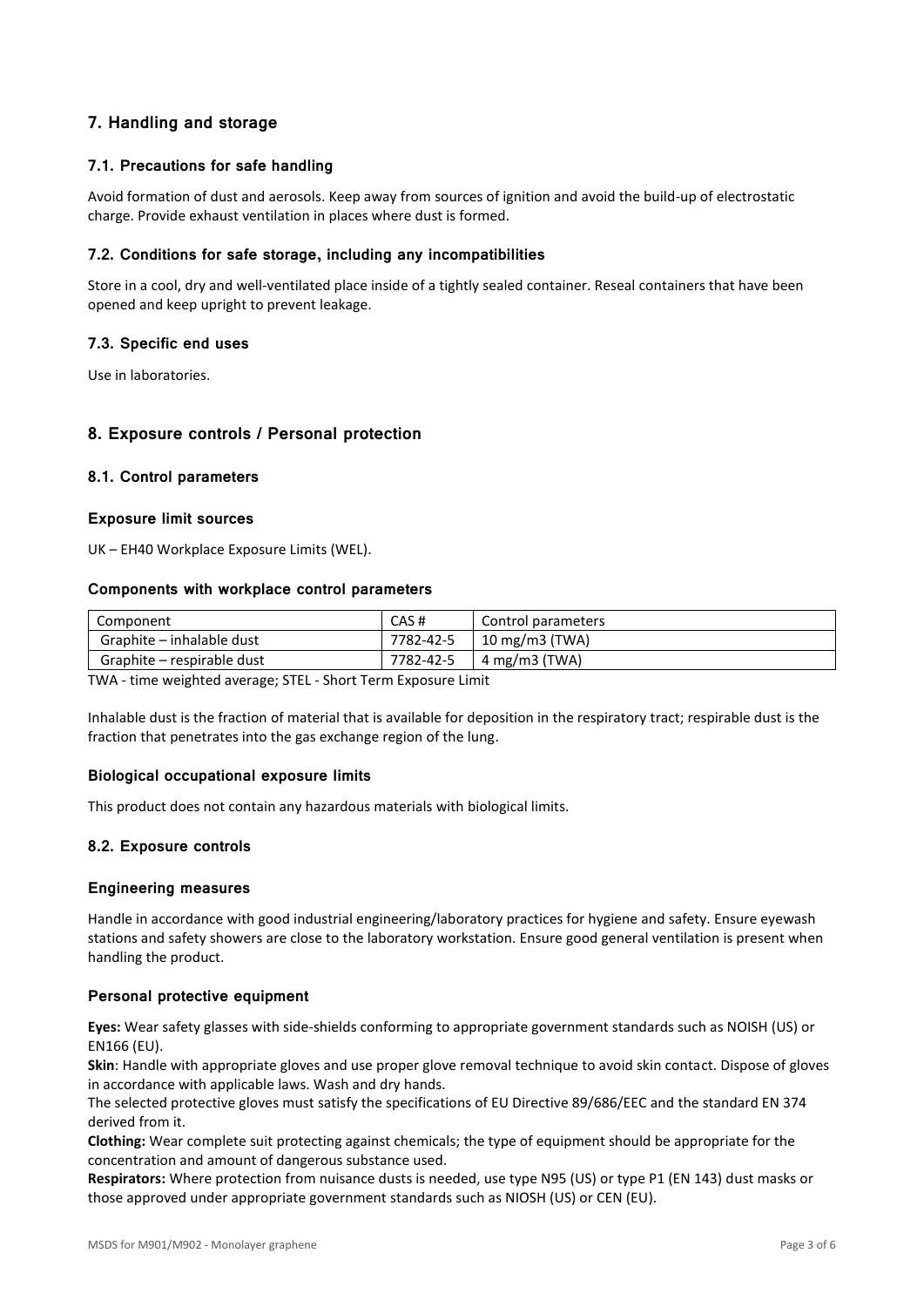# **7. Handling and storage**

## **7.1. Precautions for safe handling**

Avoid formation of dust and aerosols. Keep away from sources of ignition and avoid the build-up of electrostatic charge. Provide exhaust ventilation in places where dust is formed.

## **7.2. Conditions for safe storage, including any incompatibilities**

Store in a cool, dry and well-ventilated place inside of a tightly sealed container. Reseal containers that have been opened and keep upright to prevent leakage.

### **7.3. Specific end uses**

Use in laboratories.

## **8. Exposure controls / Personal protection**

### **8.1. Control parameters**

### **Exposure limit sources**

UK – EH40 Workplace Exposure Limits (WEL).

#### **Components with workplace control parameters**

| Component                  | CAS#      | Control parameters        |
|----------------------------|-----------|---------------------------|
| Graphite – inhalable dust  | 7782-42-5 | $10 \text{ mg/m}$ 3 (TWA) |
| Graphite – respirable dust | 7782-42-5 | 4 mg/m3 (TWA)             |

TWA - time weighted average; STEL - Short Term Exposure Limit

Inhalable dust is the fraction of material that is available for deposition in the respiratory tract; respirable dust is the fraction that penetrates into the gas exchange region of the lung.

### **Biological occupational exposure limits**

This product does not contain any hazardous materials with biological limits.

### **8.2. Exposure controls**

### **Engineering measures**

Handle in accordance with good industrial engineering/laboratory practices for hygiene and safety. Ensure eyewash stations and safety showers are close to the laboratory workstation. Ensure good general ventilation is present when handling the product.

### **Personal protective equipment**

**Eyes:** Wear safety glasses with side-shields conforming to appropriate government standards such as NOISH (US) or EN166 (EU).

**Skin**: Handle with appropriate gloves and use proper glove removal technique to avoid skin contact. Dispose of gloves in accordance with applicable laws. Wash and dry hands.

The selected protective gloves must satisfy the specifications of EU Directive 89/686/EEC and the standard EN 374 derived from it.

**Clothing:** Wear complete suit protecting against chemicals; the type of equipment should be appropriate for the concentration and amount of dangerous substance used.

**Respirators:** Where protection from nuisance dusts is needed, use type N95 (US) or type P1 (EN 143) dust masks or those approved under appropriate government standards such as NIOSH (US) or CEN (EU).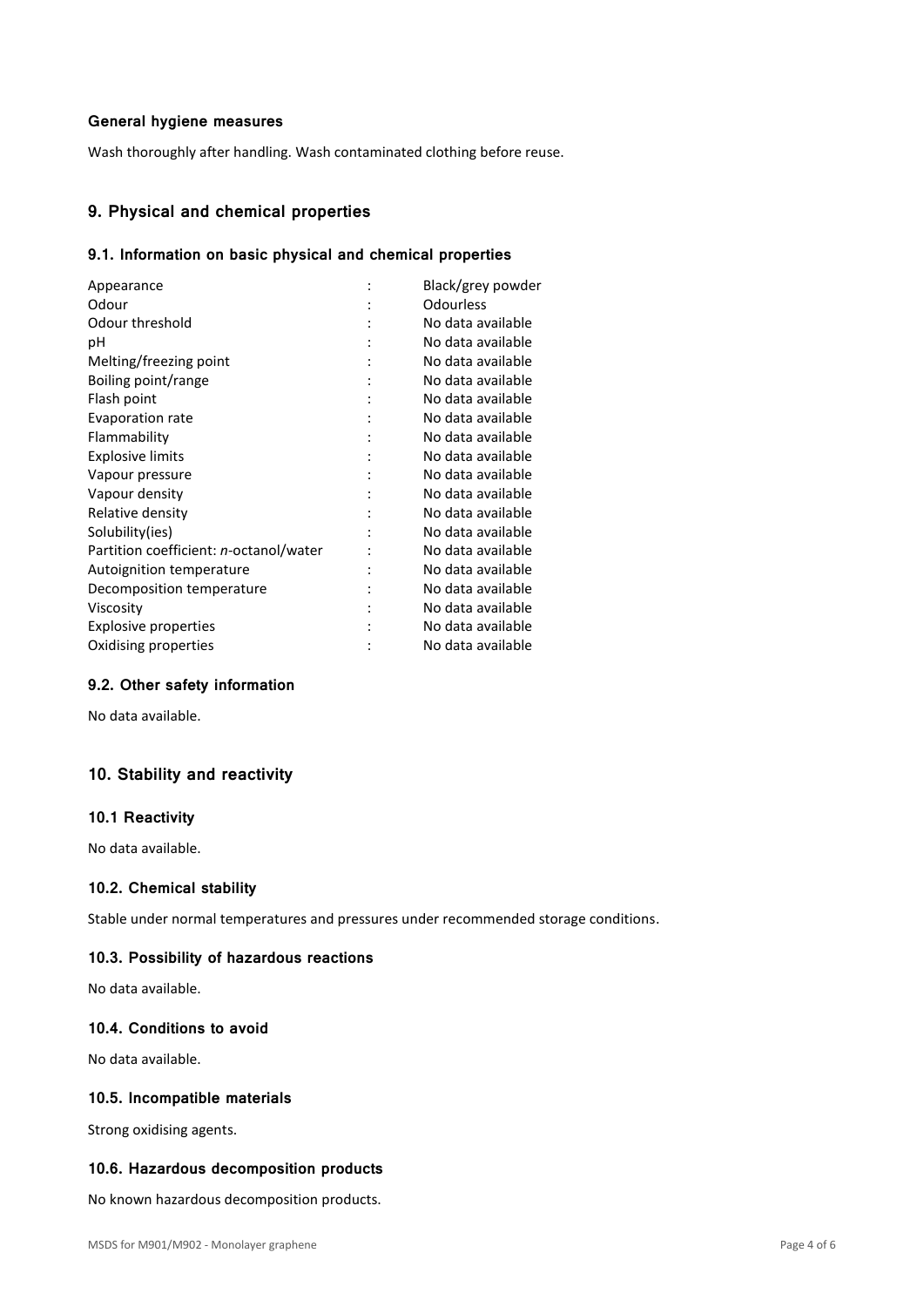### **General hygiene measures**

Wash thoroughly after handling. Wash contaminated clothing before reuse.

## **9. Physical and chemical properties**

## **9.1. Information on basic physical and chemical properties**

| Appearance                             | Black/grey powder |
|----------------------------------------|-------------------|
| Odour                                  | Odourless         |
| Odour threshold                        | No data available |
| рH                                     | No data available |
| Melting/freezing point                 | No data available |
| Boiling point/range                    | No data available |
| Flash point                            | No data available |
| <b>Evaporation rate</b>                | No data available |
| Flammability                           | No data available |
| <b>Explosive limits</b>                | No data available |
| Vapour pressure                        | No data available |
| Vapour density                         | No data available |
| Relative density                       | No data available |
| Solubility(ies)                        | No data available |
| Partition coefficient: n-octanol/water | No data available |
| Autoignition temperature               | No data available |
| Decomposition temperature              | No data available |
| Viscosity                              | No data available |
| Explosive properties                   | No data available |
| Oxidising properties                   | No data available |
|                                        |                   |

### **9.2. Other safety information**

No data available.

# **10. Stability and reactivity**

#### **10.1 Reactivity**

No data available.

### **10.2. Chemical stability**

Stable under normal temperatures and pressures under recommended storage conditions.

### **10.3. Possibility of hazardous reactions**

No data available.

## **10.4. Conditions to avoid**

No data available.

### **10.5. Incompatible materials**

Strong oxidising agents.

### **10.6. Hazardous decomposition products**

No known hazardous decomposition products.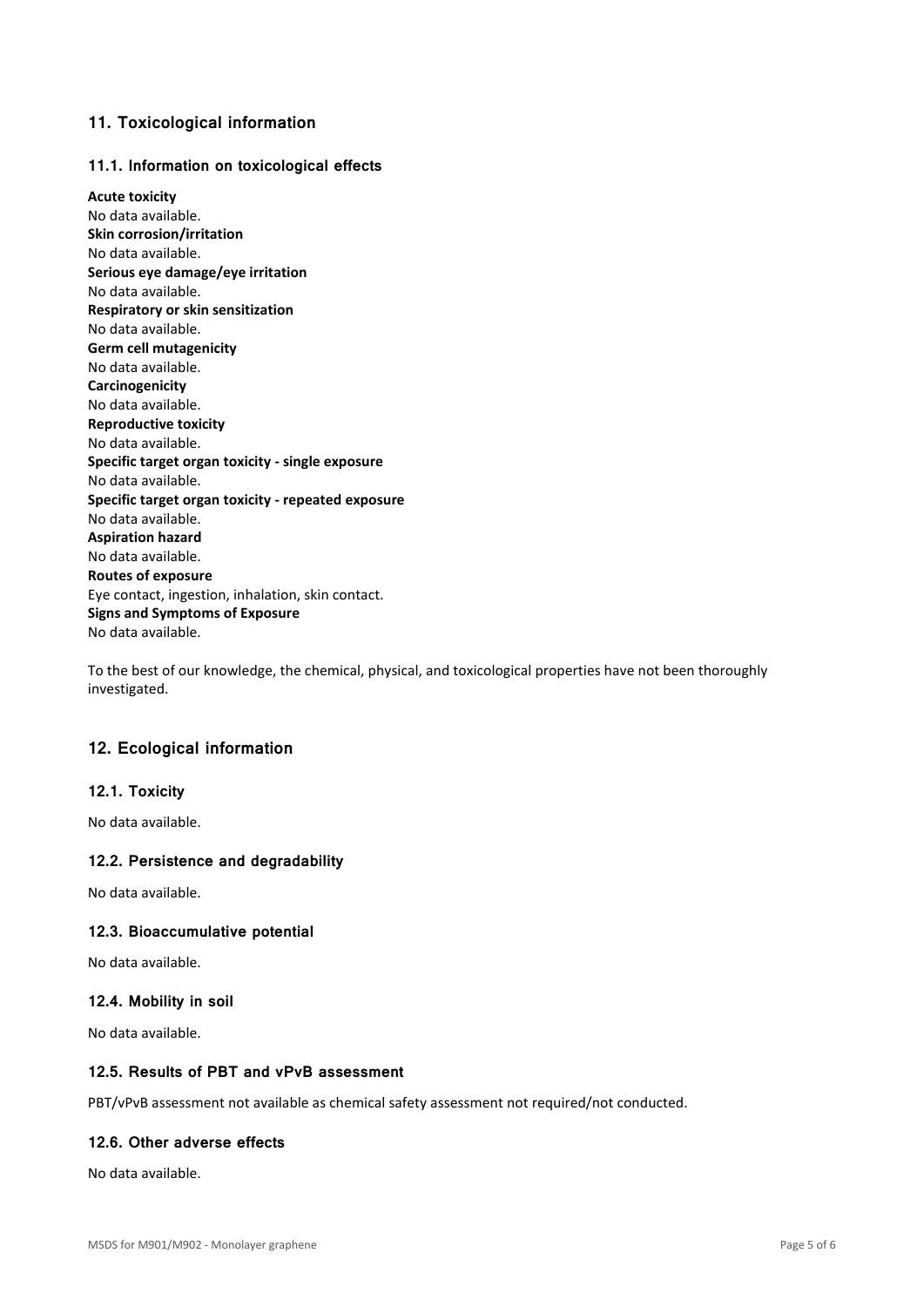## **11. Toxicological information**

### **11.1. Information on toxicological effects**

**Acute toxicity** No data available. **Skin corrosion/irritation** No data available. **Serious eye damage/eye irritation** No data available. **Respiratory or skin sensitization** No data available. **Germ cell mutagenicity** No data available. **Carcinogenicity** No data available. **Reproductive toxicity** No data available. **Specific target organ toxicity - single exposure** No data available. **Specific target organ toxicity - repeated exposure** No data available. **Aspiration hazard** No data available. **Routes of exposure** Eye contact, ingestion, inhalation, skin contact. **Signs and Symptoms of Exposure** No data available.

To the best of our knowledge, the chemical, physical, and toxicological properties have not been thoroughly investigated.

## **12. Ecological information**

### **12.1. Toxicity**

No data available.

### **12.2. Persistence and degradability**

No data available.

### **12.3. Bioaccumulative potential**

No data available.

### **12.4. Mobility in soil**

No data available.

### **12.5. Results of PBT and vPvB assessment**

PBT/vPvB assessment not available as chemical safety assessment not required/not conducted.

### **12.6. Other adverse effects**

No data available.